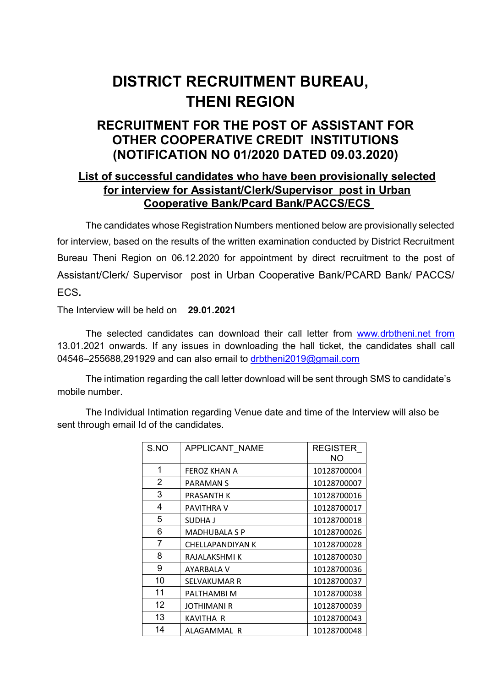## DISTRICT RECRUITMENT BUREAU, THENI REGION

## RECRUITMENT FOR THE POST OF ASSISTANT FOR OTHER COOPERATIVE CREDIT INSTITUTIONS (NOTIFICATION NO 01/2020 DATED 09.03.2020)

## List of successful candidates who have been provisionally selected for interview for Assistant/Clerk/Supervisor post in Urban Cooperative Bank/Pcard Bank/PACCS/ECS

The candidates whose Registration Numbers mentioned below are provisionally selected for interview, based on the results of the written examination conducted by District Recruitment Bureau Theni Region on 06.12.2020 for appointment by direct recruitment to the post of Assistant/Clerk/ Supervisor post in Urban Cooperative Bank/PCARD Bank/ PACCS/ ECS.

The Interview will be held on 29.01.2021

The selected candidates can download their call letter from www.drbtheni.net from 13.01.2021 onwards. If any issues in downloading the hall ticket, the candidates shall call 04546–255688,291929 and can also email to drbtheni2019@gmail.com

The intimation regarding the call letter download will be sent through SMS to candidate's mobile number.

The Individual Intimation regarding Venue date and time of the Interview will also be sent through email Id of the candidates.

| S.NO           | APPLICANT NAME       | <b>REGISTER</b><br>NΟ |
|----------------|----------------------|-----------------------|
| 1              | FEROZ KHAN A         | 10128700004           |
| 2              | PARAMAN S            | 10128700007           |
| 3              | PRASANTH K           | 10128700016           |
| 4              | <b>PAVITHRA V</b>    | 10128700017           |
| 5              | SUDHA J              | 10128700018           |
| 6              | <b>MADHUBALA S P</b> | 10128700026           |
| $\overline{7}$ | CHELLAPANDIYAN K     | 10128700028           |
| 8              | RAJALAKSHMI K        | 10128700030           |
| 9              | AYARBALA V           | 10128700036           |
| 10             | SELVAKUMAR R         | 10128700037           |
| 11             | PALTHAMBI M          | 10128700038           |
| 12             | <b>JOTHIMANI R</b>   | 10128700039           |
| 13             | KAVITHA R            | 10128700043           |
| 14             | ALAGAMMAL R          | 10128700048           |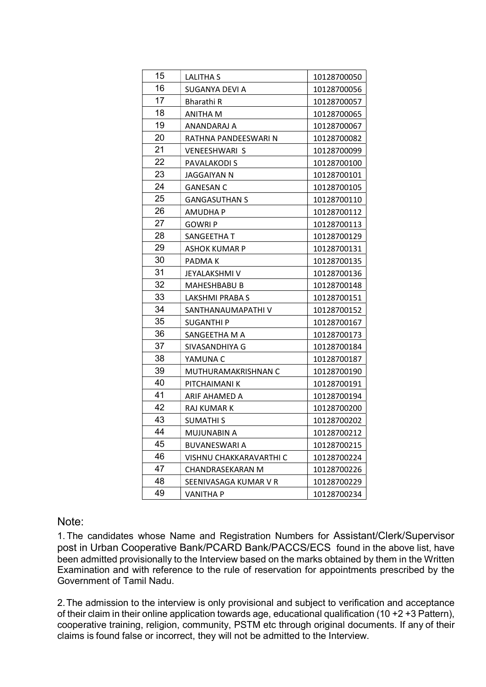| 15 | LALITHA S               | 10128700050 |
|----|-------------------------|-------------|
| 16 | SUGANYA DEVI A          | 10128700056 |
| 17 | Bharathi R              | 10128700057 |
| 18 | ANITHA M                | 10128700065 |
| 19 | ANANDARAJ A             | 10128700067 |
| 20 | RATHNA PANDEESWARI N    | 10128700082 |
| 21 | <b>VENEESHWARI S</b>    | 10128700099 |
| 22 | PAVALAKODI S            | 10128700100 |
| 23 | JAGGAIYAN N             | 10128700101 |
| 24 | <b>GANESAN C</b>        | 10128700105 |
| 25 | <b>GANGASUTHAN S</b>    | 10128700110 |
| 26 | AMUDHA P                | 10128700112 |
| 27 | <b>GOWRIP</b>           | 10128700113 |
| 28 | SANGEETHA T             | 10128700129 |
| 29 | ASHOK KUMAR P           | 10128700131 |
| 30 | PADMA K                 | 10128700135 |
| 31 | JEYALAKSHMI V           | 10128700136 |
| 32 | MAHESHBABU B            | 10128700148 |
| 33 | LAKSHMI PRABA S         | 10128700151 |
| 34 | SANTHANAUMAPATHI V      | 10128700152 |
| 35 | SUGANTHI P              | 10128700167 |
| 36 | SANGEETHA M A           | 10128700173 |
| 37 | SIVASANDHIYA G          | 10128700184 |
| 38 | YAMUNA C                | 10128700187 |
| 39 | MUTHURAMAKRISHNAN C     | 10128700190 |
| 40 | PITCHAIMANI K           | 10128700191 |
| 41 | ARIF AHAMED A           | 10128700194 |
| 42 | RAJ KUMAR K             | 10128700200 |
| 43 | <b>SUMATHIS</b>         | 10128700202 |
| 44 | MUJUNABIN A             | 10128700212 |
| 45 | <b>BUVANESWARI A</b>    | 10128700215 |
| 46 | VISHNU CHAKKARAVARTHI C | 10128700224 |
| 47 | CHANDRASEKARAN M        | 10128700226 |
| 48 | SEENIVASAGA KUMAR V R   | 10128700229 |
| 49 | VANITHA P               | 10128700234 |

## Note:

1. The candidates whose Name and Registration Numbers for Assistant/Clerk/Supervisor post in Urban Cooperative Bank/PCARD Bank/PACCS/ECS found in the above list, have been admitted provisionally to the Interview based on the marks obtained by them in the Written Examination and with reference to the rule of reservation for appointments prescribed by the Government of Tamil Nadu.

2. The admission to the interview is only provisional and subject to verification and acceptance of their claim in their online application towards age, educational qualification (10 +2 +3 Pattern), cooperative training, religion, community, PSTM etc through original documents. If any of their claims is found false or incorrect, they will not be admitted to the Interview.